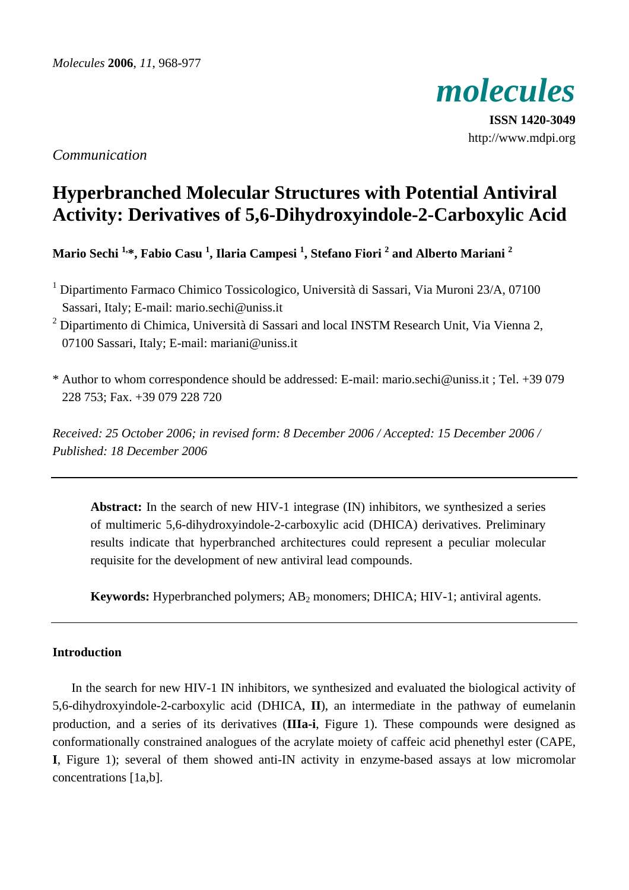

**ISSN 1420-3049** http://www.mdpi.org

*Communication*

# **Hyperbranched Molecular Structures with Potential Antiviral Activity: Derivatives of 5,6-Dihydroxyindole-2-Carboxylic Acid**

**Mario Sechi 1,\*, Fabio Casu 1 , Ilaria Campesi 1 , Stefano Fiori 2 and Alberto Mariani 2**

- <sup>1</sup> Dipartimento Farmaco Chimico Tossicologico, Università di Sassari, Via Muroni 23/A, 07100 Sassari, Italy; E-mail: mario.sechi@uniss.it
- <sup>2</sup> Dipartimento di Chimica, Università di Sassari and local INSTM Research Unit, Via Vienna 2, 07100 Sassari, Italy; E-mail: mariani@uniss.it
- \* Author to whom correspondence should be addressed: E-mail: mario.sechi@uniss.it ; Tel. +39 079 228 753; Fax. +39 079 228 720

*Received: 25 October 2006; in revised form: 8 December 2006 / Accepted: 15 December 2006 / Published: 18 December 2006* 

**Abstract:** In the search of new HIV-1 integrase (IN) inhibitors, we synthesized a series of multimeric 5,6-dihydroxyindole-2-carboxylic acid (DHICA) derivatives. Preliminary results indicate that hyperbranched architectures could represent a peculiar molecular requisite for the development of new antiviral lead compounds.

**Keywords:** Hyperbranched polymers; AB<sub>2</sub> monomers; DHICA; HIV-1; antiviral agents.

# **Introduction**

In the search for new HIV-1 IN inhibitors, we synthesized and evaluated the biological activity of 5,6-dihydroxyindole-2-carboxylic acid (DHICA, **II**), an intermediate in the pathway of eumelanin production, and a series of its derivatives (**IIIa-i**, Figure 1). These compounds were designed as conformationally constrained analogues of the acrylate moiety of caffeic acid phenethyl ester (CAPE, **I**, Figure 1); several of them showed anti-IN activity in enzyme-based assays at low micromolar concentrations [1a,b].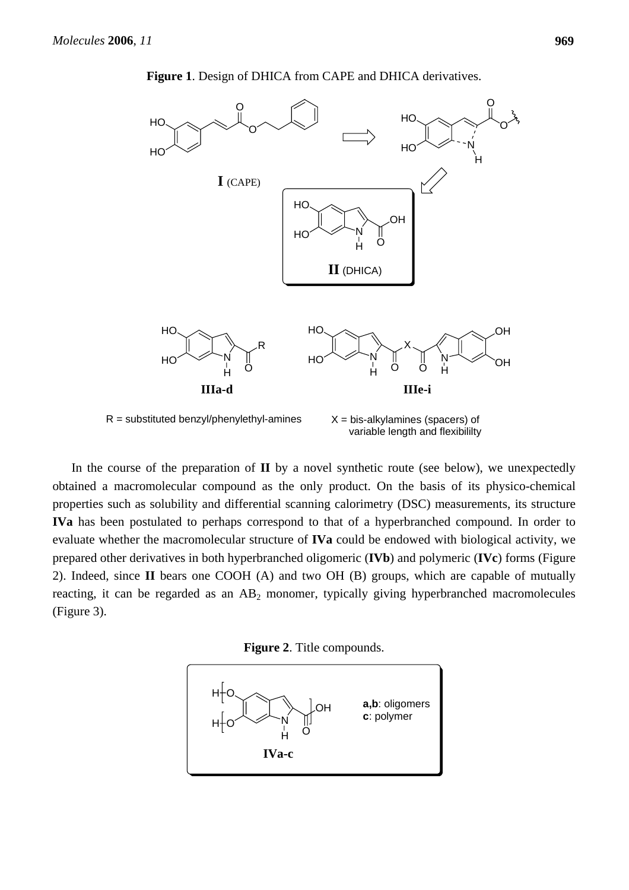

**Figure 1**. Design of DHICA from CAPE and DHICA derivatives.

In the course of the preparation of **II** by a novel synthetic route (see below), we unexpectedly obtained a macromolecular compound as the only product. On the basis of its physico-chemical properties such as solubility and differential scanning calorimetry (DSC) measurements, its structure **IVa** has been postulated to perhaps correspond to that of a hyperbranched compound. In order to evaluate whether the macromolecular structure of **IVa** could be endowed with biological activity, we prepared other derivatives in both hyperbranched oligomeric (**IVb**) and polymeric (**IVc**) forms (Figure 2). Indeed, since **II** bears one COOH (A) and two OH (B) groups, which are capable of mutually reacting, it can be regarded as an  $AB_2$  monomer, typically giving hyperbranched macromolecules (Figure 3).



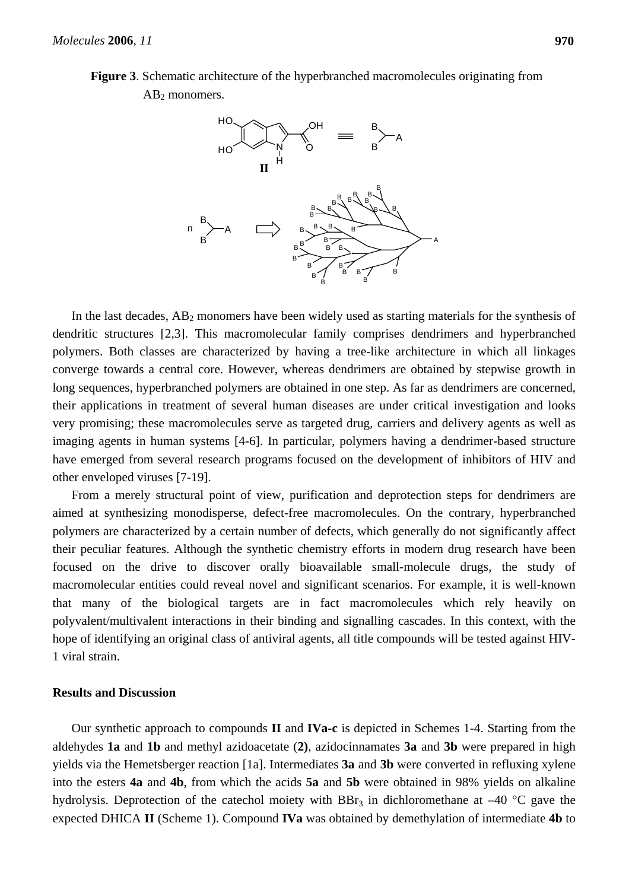



In the last decades,  $AB_2$  monomers have been widely used as starting materials for the synthesis of dendritic structures [2,3]. This macromolecular family comprises dendrimers and hyperbranched polymers. Both classes are characterized by having a tree-like architecture in which all linkages converge towards a central core. However, whereas dendrimers are obtained by stepwise growth in long sequences, hyperbranched polymers are obtained in one step. As far as dendrimers are concerned, their applications in treatment of several human diseases are under critical investigation and looks very promising; these macromolecules serve as targeted drug, carriers and delivery agents as well as imaging agents in human systems [4-6]. In particular, polymers having a dendrimer-based structure have emerged from several research programs focused on the development of inhibitors of HIV and other enveloped viruses [7-19].

From a merely structural point of view, purification and deprotection steps for dendrimers are aimed at synthesizing monodisperse, defect-free macromolecules. On the contrary, hyperbranched polymers are characterized by a certain number of defects, which generally do not significantly affect their peculiar features. Although the synthetic chemistry efforts in modern drug research have been focused on the drive to discover orally bioavailable small-molecule drugs, the study of macromolecular entities could reveal novel and significant scenarios. For example, it is well-known that many of the biological targets are in fact macromolecules which rely heavily on polyvalent/multivalent interactions in their binding and signalling cascades. In this context, with the hope of identifying an original class of antiviral agents, all title compounds will be tested against HIV-1 viral strain.

#### **Results and Discussion**

Our synthetic approach to compounds **II** and **IVa-c** is depicted in Schemes 1-4. Starting from the aldehydes **1a** and **1b** and methyl azidoacetate (**2)**, azidocinnamates **3a** and **3b** were prepared in high yields via the Hemetsberger reaction [1a]. Intermediates **3a** and **3b** were converted in refluxing xylene into the esters **4a** and **4b**, from which the acids **5a** and **5b** were obtained in 98% yields on alkaline hydrolysis. Deprotection of the catechol moiety with  $BBr<sub>3</sub>$  in dichloromethane at –40 °C gave the expected DHICA **II** (Scheme 1). Compound **IVa** was obtained by demethylation of intermediate **4b** to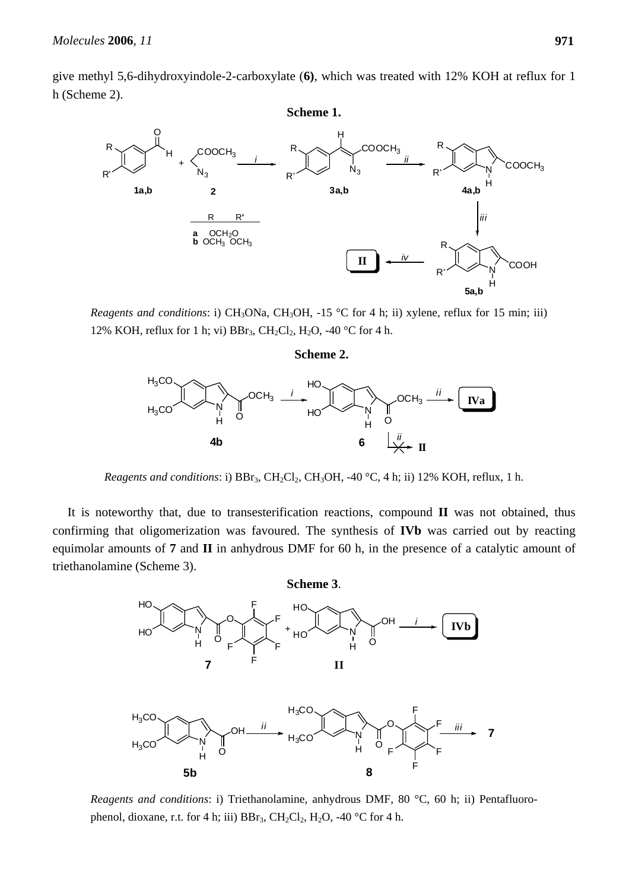give methyl 5,6-dihydroxyindole-2-carboxylate (**6)**, which was treated with 12% KOH at reflux for 1 h (Scheme 2).



*Reagents and conditions*: i) CH<sub>3</sub>ONa, CH<sub>3</sub>OH, -15 °C for 4 h; ii) xylene, reflux for 15 min; iii) 12% KOH, reflux for 1 h; vi)  $BBr_3$ ,  $CH_2Cl_2$ ,  $H_2O$ , -40 °C for 4 h.

#### **Scheme 2.**



*Reagents and conditions*: i)  $BBr_3$ ,  $CH_2Cl_2$ ,  $CH_3OH$ , -40 °C, 4 h; ii) 12% KOH, reflux, 1 h.

It is noteworthy that, due to transesterification reactions, compound **II** was not obtained, thus confirming that oligomerization was favoured. The synthesis of **IVb** was carried out by reacting equimolar amounts of **7** and **II** in anhydrous DMF for 60 h, in the presence of a catalytic amount of triethanolamine (Scheme 3).



*Reagents and conditions*: i) Triethanolamine, anhydrous DMF, 80 °C, 60 h; ii) Pentafluorophenol, dioxane, r.t. for 4 h; iii)  $BBr_3$ ,  $CH_2Cl_2$ ,  $H_2O$ , -40 °C for 4 h.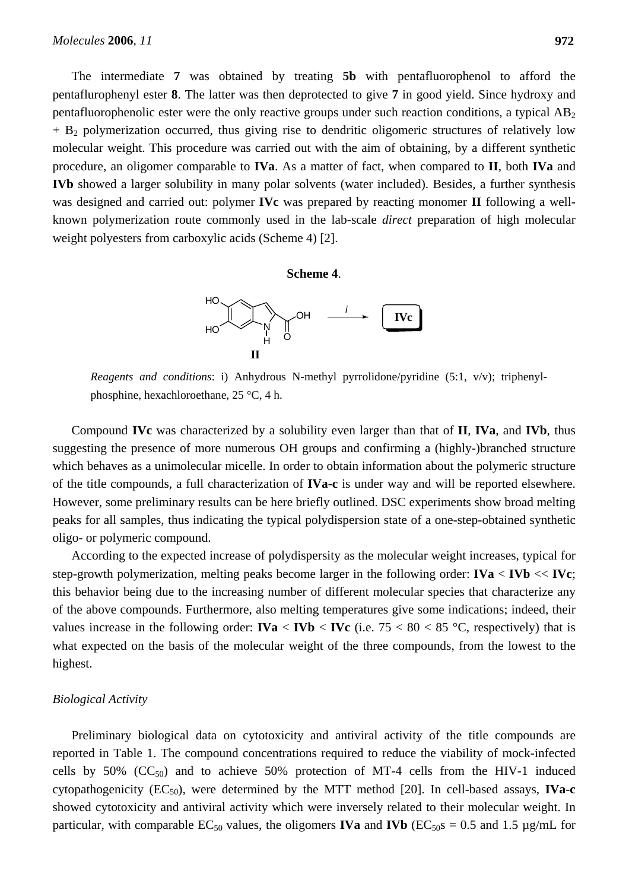The intermediate **7** was obtained by treating **5b** with pentafluorophenol to afford the pentaflurophenyl ester **8**. The latter was then deprotected to give **7** in good yield. Since hydroxy and pentafluorophenolic ester were the only reactive groups under such reaction conditions, a typical  $AB<sub>2</sub>$  $+ B<sub>2</sub>$  polymerization occurred, thus giving rise to dendritic oligomeric structures of relatively low molecular weight. This procedure was carried out with the aim of obtaining, by a different synthetic procedure, an oligomer comparable to **IVa**. As a matter of fact, when compared to **II**, both **IVa** and **IVb** showed a larger solubility in many polar solvents (water included). Besides, a further synthesis was designed and carried out: polymer **IVc** was prepared by reacting monomer **II** following a wellknown polymerization route commonly used in the lab-scale *direct* preparation of high molecular weight polyesters from carboxylic acids (Scheme 4) [2].

#### **Scheme 4**.



*Reagents and conditions*: i) Anhydrous N-methyl pyrrolidone/pyridine (5:1, v/v); triphenylphosphine, hexachloroethane, 25 °C, 4 h.

Compound **IVc** was characterized by a solubility even larger than that of **II**, **IVa**, and **IVb**, thus suggesting the presence of more numerous OH groups and confirming a (highly-)branched structure which behaves as a unimolecular micelle. In order to obtain information about the polymeric structure of the title compounds, a full characterization of **IVa-c** is under way and will be reported elsewhere. However, some preliminary results can be here briefly outlined. DSC experiments show broad melting peaks for all samples, thus indicating the typical polydispersion state of a one-step-obtained synthetic oligo- or polymeric compound.

According to the expected increase of polydispersity as the molecular weight increases, typical for step-growth polymerization, melting peaks become larger in the following order:  $\mathbf{I} \mathbf{V} \mathbf{a} \leq \mathbf{I} \mathbf{V} \mathbf{b} \ll \mathbf{I} \mathbf{V} \mathbf{c}$ ; this behavior being due to the increasing number of different molecular species that characterize any of the above compounds. Furthermore, also melting temperatures give some indications; indeed, their values increase in the following order:  $\text{IVa} < \text{IVb} < \text{IVc}$  (i.e. 75 < 80 < 85 °C, respectively) that is what expected on the basis of the molecular weight of the three compounds, from the lowest to the highest.

#### *Biological Activity*

Preliminary biological data on cytotoxicity and antiviral activity of the title compounds are reported in Table 1. The compound concentrations required to reduce the viability of mock-infected cells by 50%  $(CC_{50})$  and to achieve 50% protection of MT-4 cells from the HIV-1 induced cytopathogenicity (EC<sub>50</sub>), were determined by the MTT method [20]. In cell-based assays, **IVa-c** showed cytotoxicity and antiviral activity which were inversely related to their molecular weight. In particular, with comparable  $EC_{50}$  values, the oligomers **IVa** and **IVb** ( $EC_{50}$ s = 0.5 and 1.5 µg/mL for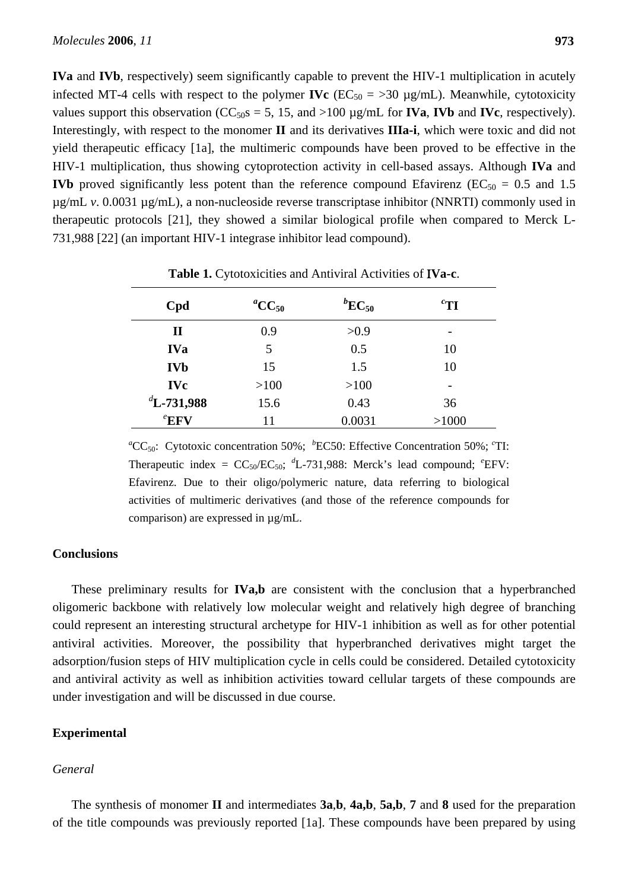**IVa** and **IVb**, respectively) seem significantly capable to prevent the HIV-1 multiplication in acutely infected MT-4 cells with respect to the polymer **IVc** ( $EC_{50} = 30 \mu g/mL$ ). Meanwhile, cytotoxicity values support this observation ( $CC_{50}$ s = 5, 15, and >100  $\mu$ g/mL for **IVa**, **IVb** and **IVc**, respectively). Interestingly, with respect to the monomer **II** and its derivatives **IIIa-i**, which were toxic and did not yield therapeutic efficacy [1a], the multimeric compounds have been proved to be effective in the HIV-1 multiplication, thus showing cytoprotection activity in cell-based assays. Although **IVa** and **IVb** proved significantly less potent than the reference compound Efavirenz ( $EC_{50} = 0.5$  and 1.5 µg/mL *v*. 0.0031 µg/mL), a non-nucleoside reverse transcriptase inhibitor (NNRTI) commonly used in therapeutic protocols [21], they showed a similar biological profile when compared to Merck L-731,988 [22] (an important HIV-1 integrase inhibitor lead compound).

| Cpd            | <sup><i>a</i></sup> CC <sub>50</sub> | ${}^{b}EC_{50}$ | ${}^{c}$ TI |
|----------------|--------------------------------------|-----------------|-------------|
| $\mathbf{I}$   | 0.9                                  | >0.9            | -           |
| <b>IVa</b>     | 5                                    | 0.5             | 10          |
| <b>IVb</b>     | 15                                   | 1.5             | 10          |
| <b>IVc</b>     | >100                                 | >100            |             |
| $^d$ L-731,988 | 15.6                                 | 0.43            | 36          |
| $e$ EFV        | 11                                   | 0.0031          | >1000       |

**Table 1.** Cytotoxicities and Antiviral Activities of Ι**Va-c**.

<sup>a</sup>CC<sub>50</sub>: Cytotoxic concentration 50%; <sup>*b*</sup>EC50: Effective Concentration 50%; <sup>*c*</sup>TI: Therapeutic index =  $CC_{50}/EC_{50}$ ; <sup>*d*</sup>L-731,988: Merck's lead compound; <sup>*e*</sup>EFV: Efavirenz. Due to their oligo/polymeric nature, data referring to biological activities of multimeric derivatives (and those of the reference compounds for comparison) are expressed in µg/mL.

## **Conclusions**

These preliminary results for **IVa,b** are consistent with the conclusion that a hyperbranched oligomeric backbone with relatively low molecular weight and relatively high degree of branching could represent an interesting structural archetype for HIV-1 inhibition as well as for other potential antiviral activities. Moreover, the possibility that hyperbranched derivatives might target the adsorption/fusion steps of HIV multiplication cycle in cells could be considered. Detailed cytotoxicity and antiviral activity as well as inhibition activities toward cellular targets of these compounds are under investigation and will be discussed in due course.

# **Experimental**

## *General*

The synthesis of monomer **II** and intermediates **3a**,**b**, **4a,b**, **5a,b**, **7** and **8** used for the preparation of the title compounds was previously reported [1a]. These compounds have been prepared by using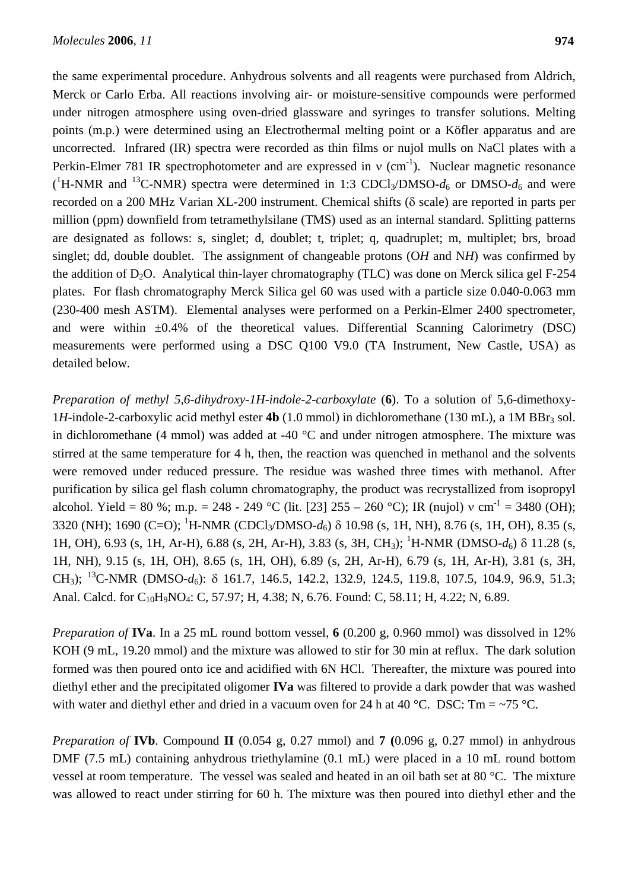the same experimental procedure. Anhydrous solvents and all reagents were purchased from Aldrich, Merck or Carlo Erba. All reactions involving air- or moisture-sensitive compounds were performed under nitrogen atmosphere using oven-dried glassware and syringes to transfer solutions. Melting points (m.p.) were determined using an Electrothermal melting point or a Köfler apparatus and are uncorrected. Infrared (IR) spectra were recorded as thin films or nujol mulls on NaCl plates with a Perkin-Elmer 781 IR spectrophotometer and are expressed in  $v$  (cm<sup>-1</sup>). Nuclear magnetic resonance  $(^1H\text{-NMR}$  and <sup>13</sup>C-NMR) spectra were determined in 1:3 CDCl<sub>3</sub>/DMSO- $d_6$  or DMSO- $d_6$  and were recorded on a 200 MHz Varian XL-200 instrument. Chemical shifts (δ scale) are reported in parts per million (ppm) downfield from tetramethylsilane (TMS) used as an internal standard. Splitting patterns are designated as follows: s, singlet; d, doublet; t, triplet; q, quadruplet; m, multiplet; brs, broad singlet; dd, double doublet. The assignment of changeable protons (O*H* and N*H*) was confirmed by the addition of  $D_2O$ . Analytical thin-layer chromatography (TLC) was done on Merck silica gel F-254 plates. For flash chromatography Merck Silica gel 60 was used with a particle size 0.040-0.063 mm (230-400 mesh ASTM). Elemental analyses were performed on a Perkin-Elmer 2400 spectrometer, and were within  $\pm 0.4\%$  of the theoretical values. Differential Scanning Calorimetry (DSC) measurements were performed using a DSC Q100 V9.0 (TA Instrument, New Castle, USA) as detailed below.

*Preparation of methyl 5,6-dihydroxy-1H-indole-2-carboxylate* (**6**). To a solution of 5,6-dimethoxy-1*H*-indole-2-carboxylic acid methyl ester **4b** (1.0 mmol) in dichloromethane (130 mL), a 1M BBr<sub>3</sub> sol. in dichloromethane (4 mmol) was added at -40 °C and under nitrogen atmosphere. The mixture was stirred at the same temperature for 4 h, then, the reaction was quenched in methanol and the solvents were removed under reduced pressure. The residue was washed three times with methanol. After purification by silica gel flash column chromatography, the product was recrystallized from isopropyl alcohol. Yield = 80 %; m.p. = 248 - 249 °C (lit. [23] 255 – 260 °C); IR (nujol)  $v \text{ cm}^{-1} = 3480 \text{ (OH)}$ ; 3320 (NH); 1690 (C=O); <sup>1</sup>H-NMR (CDCl<sub>3</sub>/DMSO-d<sub>6</sub>) δ 10.98 (s, 1H, NH), 8.76 (s, 1H, OH), 8.35 (s, 1H, OH), 6.93 (s, 1H, Ar-H), 6.88 (s, 2H, Ar-H), 3.83 (s, 3H, CH<sub>3</sub>); <sup>1</sup>H-NMR (DMSO-d<sub>6</sub>) δ 11.28 (s, 1H, NH), 9.15 (s, 1H, OH), 8.65 (s, 1H, OH), 6.89 (s, 2H, Ar-H), 6.79 (s, 1H, Ar-H), 3.81 (s, 3H, CH<sub>3</sub>); <sup>13</sup>C-NMR (DMSO-d<sub>6</sub>): δ 161.7, 146.5, 142.2, 132.9, 124.5, 119.8, 107.5, 104.9, 96.9, 51.3; Anal. Calcd. for C<sub>10</sub>H<sub>9</sub>NO<sub>4</sub>: C, 57.97; H, 4.38; N, 6.76. Found: C, 58.11; H, 4.22; N, 6.89.

*Preparation of* **IVa**. In a 25 mL round bottom vessel, **6** (0.200 g, 0.960 mmol) was dissolved in 12% KOH (9 mL, 19.20 mmol) and the mixture was allowed to stir for 30 min at reflux. The dark solution formed was then poured onto ice and acidified with 6N HCl. Thereafter, the mixture was poured into diethyl ether and the precipitated oligomer **IVa** was filtered to provide a dark powder that was washed with water and diethyl ether and dried in a vacuum oven for 24 h at 40 °C. DSC:  $Tm = \frac{5}{9}$ °C.

*Preparation of* **IVb**. Compound **II** (0.054 g, 0.27 mmol) and **7 (**0.096 g, 0.27 mmol) in anhydrous DMF (7.5 mL) containing anhydrous triethylamine (0.1 mL) were placed in a 10 mL round bottom vessel at room temperature. The vessel was sealed and heated in an oil bath set at 80 °C. The mixture was allowed to react under stirring for 60 h. The mixture was then poured into diethyl ether and the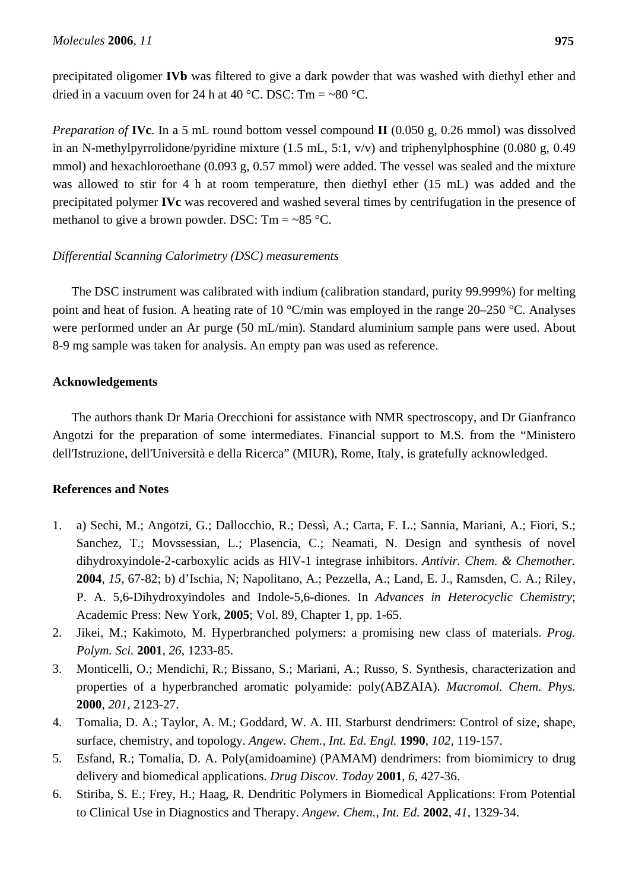precipitated oligomer **IVb** was filtered to give a dark powder that was washed with diethyl ether and dried in a vacuum oven for 24 h at 40 °C. DSC:  $Tm = ~80$  °C.

*Preparation of* **IVc**. In a 5 mL round bottom vessel compound **II** (0.050 g, 0.26 mmol) was dissolved in an N-methylpyrrolidone/pyridine mixture (1.5 mL, 5:1, v/v) and triphenylphosphine (0.080 g, 0.49 mmol) and hexachloroethane (0.093 g, 0.57 mmol) were added. The vessel was sealed and the mixture was allowed to stir for 4 h at room temperature, then diethyl ether (15 mL) was added and the precipitated polymer **IVc** was recovered and washed several times by centrifugation in the presence of methanol to give a brown powder. DSC:  $Tm = -85$  °C.

# *Differential Scanning Calorimetry (DSC) measurements*

The DSC instrument was calibrated with indium (calibration standard, purity 99.999%) for melting point and heat of fusion. A heating rate of 10 °C/min was employed in the range 20–250 °C. Analyses were performed under an Ar purge (50 mL/min). Standard aluminium sample pans were used. About 8-9 mg sample was taken for analysis. An empty pan was used as reference.

# **Acknowledgements**

The authors thank Dr Maria Orecchioni for assistance with NMR spectroscopy, and Dr Gianfranco Angotzi for the preparation of some intermediates. Financial support to M.S. from the "Ministero dell'Istruzione, dell'Università e della Ricerca" (MIUR), Rome, Italy, is gratefully acknowledged.

## **References and Notes**

- 1. a) Sechi, M.; Angotzi, G.; Dallocchio, R.; Dessì, A.; Carta, F. L.; Sannia, Mariani, A.; Fiori, S.; Sanchez, T.; Movssessian, L.; Plasencia, C.; Neamati, N. Design and synthesis of novel dihydroxyindole-2-carboxylic acids as HIV-1 integrase inhibitors. *Antivir. Chem. & Chemother.* **2004**, *15*, 67-82; b) d'Ischia, N; Napolitano, A.; Pezzella, A.; Land, E. J., Ramsden, C. A.; Riley, P. A. 5,6-Dihydroxyindoles and Indole-5,6-diones. In *Advances in Heterocyclic Chemistry*; Academic Press: New York, **2005**; Vol. 89, Chapter 1, pp. 1-65.
- 2. Jikei, M.; Kakimoto, M. Hyperbranched polymers: a promising new class of materials. *Prog. Polym. Sci.* **2001**, *26*, 1233-85.
- 3. Monticelli, O.; Mendichi, R.; Bissano, S.; Mariani, A.; Russo, S. Synthesis, characterization and properties of a hyperbranched aromatic polyamide: poly(ABZAIA). *Macromol. Chem. Phys.* **2000**, *201*, 2123-27.
- 4. Tomalia, D. A.; Taylor, A. M.; Goddard, W. A. III. Starburst dendrimers: Control of size, shape, surface, chemistry, and topology. *Angew. Chem., Int. Ed. Engl.* **1990**, *102*, 119-157.
- 5. Esfand, R.; Tomalia, D. A. Poly(amidoamine) (PAMAM) dendrimers: from biomimicry to drug delivery and biomedical applications. *Drug Discov. Today* **2001**, *6*, 427-36.
- 6. Stiriba, S. E.; Frey, H.; Haag, R. Dendritic Polymers in Biomedical Applications: From Potential to Clinical Use in Diagnostics and Therapy. *Angew. Chem., Int. Ed.* **2002**, *41*, 1329-34.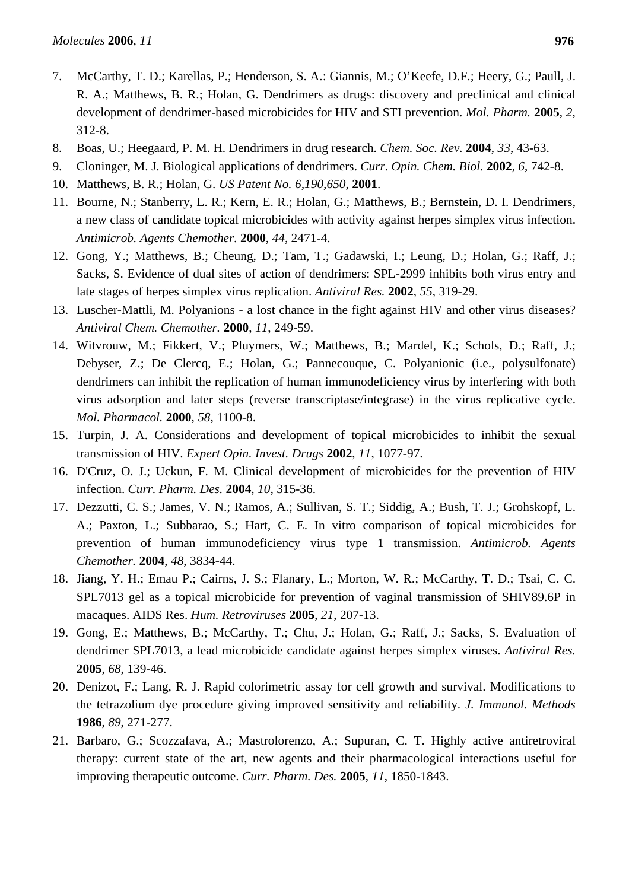- 7. McCarthy, T. D.; Karellas, P.; Henderson, S. A.: Giannis, M.; O'Keefe, D.F.; Heery, G.; Paull, J. R. A.; Matthews, B. R.; Holan, G. Dendrimers as drugs: discovery and preclinical and clinical development of dendrimer-based microbicides for HIV and STI prevention. *Mol. Pharm.* **2005**, *2*, 312-8.
- 8. Boas, U.; Heegaard, P. M. H. Dendrimers in drug research. *Chem. Soc. Rev.* **2004**, *33*, 43-63.
- 9. Cloninger, M. J. Biological applications of dendrimers. *Curr. Opin. Chem. Biol.* **2002**, *6*, 742-8.
- 10. Matthews, B. R.; Holan, G. *US Patent No. 6,190,650*, **2001**.
- 11. Bourne, N.; Stanberry, L. R.; Kern, E. R.; Holan, G.; Matthews, B.; Bernstein, D. I. Dendrimers, a new class of candidate topical microbicides with activity against herpes simplex virus infection. *Antimicrob. Agents Chemother.* **2000**, *44*, 2471-4.
- 12. Gong, Y.; Matthews, B.; Cheung, D.; Tam, T.; Gadawski, I.; Leung, D.; Holan, G.; Raff, J.; Sacks, S. Evidence of dual sites of action of dendrimers: SPL-2999 inhibits both virus entry and late stages of herpes simplex virus replication. *Antiviral Res.* **2002**, *55*, 319-29.
- 13. Luscher-Mattli, M. Polyanions a lost chance in the fight against HIV and other virus diseases? *Antiviral Chem. Chemother.* **2000**, *11*, 249-59.
- 14. Witvrouw, M.; Fikkert, V.; Pluymers, W.; Matthews, B.; Mardel, K.; Schols, D.; Raff, J.; Debyser, Z.; De Clercq, E.; Holan, G.; Pannecouque, C. Polyanionic (i.e., polysulfonate) dendrimers can inhibit the replication of human immunodeficiency virus by interfering with both virus adsorption and later steps (reverse transcriptase/integrase) in the virus replicative cycle. *Mol. Pharmacol.* **2000**, *58*, 1100-8.
- 15. Turpin, J. A. Considerations and development of topical microbicides to inhibit the sexual transmission of HIV. *Expert Opin. Invest. Drugs* **2002**, *11*, 1077-97.
- 16. D'Cruz, O. J.; Uckun, F. M. Clinical development of microbicides for the prevention of HIV infection. *Curr. Pharm. Des.* **2004**, *10*, 315-36.
- 17. Dezzutti, C. S.; James, V. N.; Ramos, A.; Sullivan, S. T.; Siddig, A.; Bush, T. J.; Grohskopf, L. A.; Paxton, L.; Subbarao, S.; Hart, C. E. In vitro comparison of topical microbicides for prevention of human immunodeficiency virus type 1 transmission. *Antimicrob. Agents Chemother.* **2004**, *48*, 3834-44.
- 18. Jiang, Y. H.; Emau P.; Cairns, J. S.; Flanary, L.; Morton, W. R.; McCarthy, T. D.; Tsai, C. C. SPL7013 gel as a topical microbicide for prevention of vaginal transmission of SHIV89.6P in macaques. AIDS Res. *Hum. Retroviruses* **2005**, *21*, 207-13.
- 19. Gong, E.; Matthews, B.; McCarthy, T.; Chu, J.; Holan, G.; Raff, J.; Sacks, S. Evaluation of dendrimer SPL7013, a lead microbicide candidate against herpes simplex viruses. *Antiviral Res.* **2005**, *68*, 139-46.
- 20. Denizot, F.; Lang, R. J. Rapid colorimetric assay for cell growth and survival. Modifications to the tetrazolium dye procedure giving improved sensitivity and reliability. *J. Immunol. Methods* **1986**, *89*, 271-277.
- 21. Barbaro, G.; Scozzafava, A.; Mastrolorenzo, A.; Supuran, C. T. Highly active antiretroviral therapy: current state of the art, new agents and their pharmacological interactions useful for improving therapeutic outcome. *Curr. Pharm. Des.* **2005**, *11*, 1850-1843.